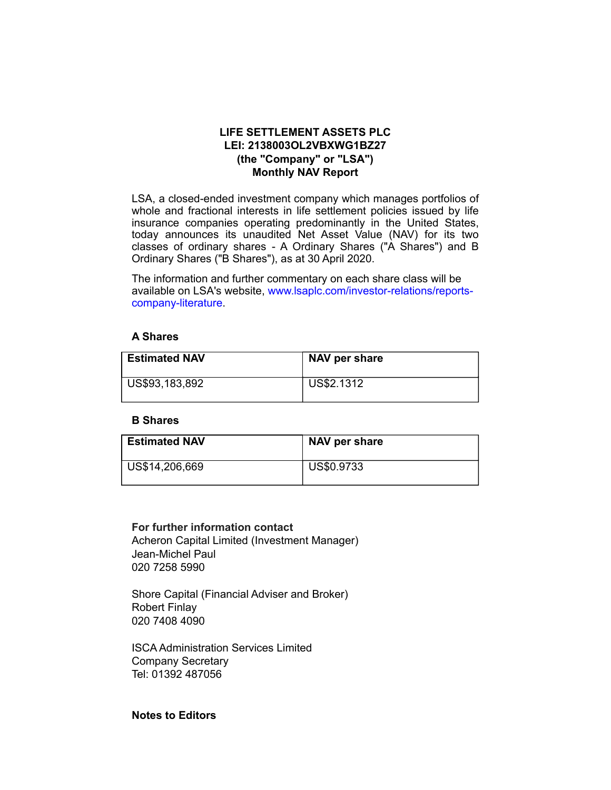# LIFE SETTLEMENT ASSETS PLC LEI: 2138003OL2VBXWG1BZ27 (the "Company" or "LSA") Monthly NAV Report

LSA, a closed-ended investment company which manages portfolios of whole and fractional interests in life settlement policies issued by life insurance companies operating predominantly in the United States, today announces its unaudited Net Asset Value (NAV) for its two classes of ordinary shares - A Ordinary Shares ("A Shares") and B Ordinary Shares ("B Shares"), as at 30 April 2020.

The information and further commentary on each share class will be available on LSA's website, www.lsaplc.com/investor-relations/reportscompany-literature.

### A Shares

| <b>Estimated NAV</b> | NAV per share |
|----------------------|---------------|
| US\$93,183,892       | US\$2.1312    |

#### B Shares

| <b>Estimated NAV</b> | NAV per share |
|----------------------|---------------|
| US\$14,206,669       | US\$0.9733    |

## For further information contact

Acheron Capital Limited (Investment Manager) Jean-Michel Paul 020 7258 5990

Shore Capital (Financial Adviser and Broker) Robert Finlay 020 7408 4090

ISCA Administration Services Limited Company Secretary Tel: 01392 487056

## Notes to Editors